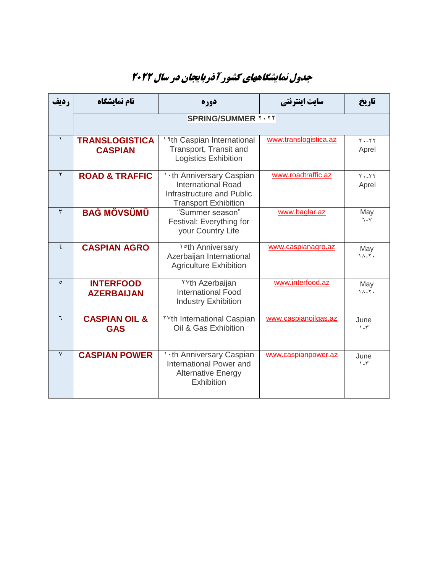## **جدول نمایشگاههای کشور آذربایجان در سال 2022**

| رديف         | نام نمایشگاه                            | دوره                                                                                                                      | سایت اینترنتی         | تاريخ                               |  |  |
|--------------|-----------------------------------------|---------------------------------------------------------------------------------------------------------------------------|-----------------------|-------------------------------------|--|--|
|              | <b>SPRING/SUMMER Y . YY</b>             |                                                                                                                           |                       |                                     |  |  |
|              |                                         |                                                                                                                           |                       |                                     |  |  |
| $\lambda$    | <b>TRANSLOGISTICA</b><br><b>CASPIAN</b> | 19th Caspian International<br>Transport, Transit and<br><b>Logistics Exhibition</b>                                       | www.translogistica.az | $Y - YY$<br>Aprel                   |  |  |
| $\mathsf{Y}$ | <b>ROAD &amp; TRAFFIC</b>               | <b>1 .th Anniversary Caspian</b><br><b>International Road</b><br>Infrastructure and Public<br><b>Transport Exhibition</b> | www.roadtraffic.az    | $Y - YY$<br>Aprel                   |  |  |
| $\mathbf{r}$ | <b>BAĞ MÖVSÜMÜ</b>                      | "Summer season"<br>Festival: Everything for<br>your Country Life                                                          | www.baglar.az         | May<br>٦ <sub>-</sub> ۷             |  |  |
| $\epsilon$   | <b>CASPIAN AGRO</b>                     | <b>1°th Anniversary</b><br>Azerbaijan International<br><b>Agriculture Exhibition</b>                                      | www.caspianagro.az    | May<br>$1^{\prime}$                 |  |  |
| $\circ$      | <b>INTERFOOD</b><br><b>AZERBAIJAN</b>   | <b>TYth Azerbaijan</b><br><b>International Food</b><br><b>Industry Exhibition</b>                                         | www.interfood.az      | May<br>$\lambda - \lambda$          |  |  |
| ٦            | <b>CASPIAN OIL &amp;</b><br><b>GAS</b>  | <b>YYth International Caspian</b><br>Oil & Gas Exhibition                                                                 | www.caspianoilgas.az  | June<br>$1 - r$                     |  |  |
| $\vee$       | <b>CASPIAN POWER</b>                    | <b>1.th Anniversary Caspian</b><br>International Power and<br><b>Alternative Energy</b><br>Exhibition                     | www.caspianpower.az   | June<br>$\mathcal{L} - \mathcal{L}$ |  |  |